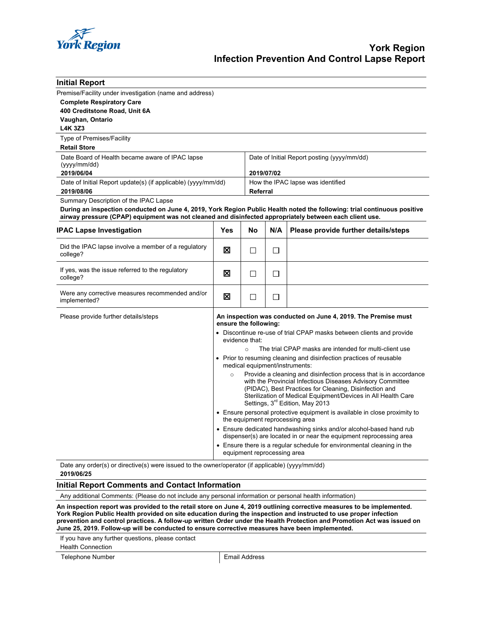

| <b>Initial Report</b>                                                                                                                                                                                                                                                        |                                                                                                                                                                                                                                                                                                                                                                                                                                                                                                                                                                                                                                                                                                                                                                                                                                                                                                                                                                                                                                                              |    |                                                           |                                      |  |
|------------------------------------------------------------------------------------------------------------------------------------------------------------------------------------------------------------------------------------------------------------------------------|--------------------------------------------------------------------------------------------------------------------------------------------------------------------------------------------------------------------------------------------------------------------------------------------------------------------------------------------------------------------------------------------------------------------------------------------------------------------------------------------------------------------------------------------------------------------------------------------------------------------------------------------------------------------------------------------------------------------------------------------------------------------------------------------------------------------------------------------------------------------------------------------------------------------------------------------------------------------------------------------------------------------------------------------------------------|----|-----------------------------------------------------------|--------------------------------------|--|
| Premise/Facility under investigation (name and address)<br><b>Complete Respiratory Care</b><br>400 Creditstone Road, Unit 6A<br>Vaughan, Ontario<br><b>L4K 3Z3</b>                                                                                                           |                                                                                                                                                                                                                                                                                                                                                                                                                                                                                                                                                                                                                                                                                                                                                                                                                                                                                                                                                                                                                                                              |    |                                                           |                                      |  |
| Type of Premises/Facility                                                                                                                                                                                                                                                    |                                                                                                                                                                                                                                                                                                                                                                                                                                                                                                                                                                                                                                                                                                                                                                                                                                                                                                                                                                                                                                                              |    |                                                           |                                      |  |
| <b>Retail Store</b>                                                                                                                                                                                                                                                          |                                                                                                                                                                                                                                                                                                                                                                                                                                                                                                                                                                                                                                                                                                                                                                                                                                                                                                                                                                                                                                                              |    |                                                           |                                      |  |
| Date Board of Health became aware of IPAC lapse<br>(yyy/mm/dd)<br>2019/06/04                                                                                                                                                                                                 |                                                                                                                                                                                                                                                                                                                                                                                                                                                                                                                                                                                                                                                                                                                                                                                                                                                                                                                                                                                                                                                              |    | Date of Initial Report posting (yyyy/mm/dd)<br>2019/07/02 |                                      |  |
| Date of Initial Report update(s) (if applicable) (yyyy/mm/dd)<br>2019/08/06                                                                                                                                                                                                  |                                                                                                                                                                                                                                                                                                                                                                                                                                                                                                                                                                                                                                                                                                                                                                                                                                                                                                                                                                                                                                                              |    | How the IPAC lapse was identified<br>Referral             |                                      |  |
| Summary Description of the IPAC Lapse<br>During an inspection conducted on June 4, 2019, York Region Public Health noted the following: trial continuous positive<br>airway pressure (CPAP) equipment was not cleaned and disinfected appropriately between each client use. |                                                                                                                                                                                                                                                                                                                                                                                                                                                                                                                                                                                                                                                                                                                                                                                                                                                                                                                                                                                                                                                              |    |                                                           |                                      |  |
| <b>IPAC Lapse Investigation</b>                                                                                                                                                                                                                                              | Yes                                                                                                                                                                                                                                                                                                                                                                                                                                                                                                                                                                                                                                                                                                                                                                                                                                                                                                                                                                                                                                                          | No | N/A                                                       | Please provide further details/steps |  |
| Did the IPAC lapse involve a member of a regulatory<br>college?                                                                                                                                                                                                              | ⊠                                                                                                                                                                                                                                                                                                                                                                                                                                                                                                                                                                                                                                                                                                                                                                                                                                                                                                                                                                                                                                                            | П  | □                                                         |                                      |  |
| If yes, was the issue referred to the regulatory<br>college?                                                                                                                                                                                                                 | ⊠                                                                                                                                                                                                                                                                                                                                                                                                                                                                                                                                                                                                                                                                                                                                                                                                                                                                                                                                                                                                                                                            | П  | □                                                         |                                      |  |
| Were any corrective measures recommended and/or<br>implemented?                                                                                                                                                                                                              | ×                                                                                                                                                                                                                                                                                                                                                                                                                                                                                                                                                                                                                                                                                                                                                                                                                                                                                                                                                                                                                                                            | П  | П                                                         |                                      |  |
| Please provide further details/steps                                                                                                                                                                                                                                         | An inspection was conducted on June 4, 2019. The Premise must<br>ensure the following:<br>• Discontinue re-use of trial CPAP masks between clients and provide<br>evidence that:<br>The trial CPAP masks are intended for multi-client use<br>$\circ$<br>• Prior to resuming cleaning and disinfection practices of reusable<br>medical equipment/instruments:<br>Provide a cleaning and disinfection process that is in accordance<br>$\circ$<br>with the Provincial Infectious Diseases Advisory Committee<br>(PIDAC), Best Practices for Cleaning, Disinfection and<br>Sterilization of Medical Equipment/Devices in All Health Care<br>Settings, 3 <sup>rd</sup> Edition, May 2013<br>• Ensure personal protective equipment is available in close proximity to<br>the equipment reprocessing area<br>• Ensure dedicated handwashing sinks and/or alcohol-based hand rub<br>dispenser(s) are located in or near the equipment reprocessing area<br>• Ensure there is a regular schedule for environmental cleaning in the<br>equipment reprocessing area |    |                                                           |                                      |  |

Date any order(s) or directive(s) were issued to the owner/operator (if applicable) (yyyy/mm/dd) **2019/06/25**

### **Initial Report Comments and Contact Information**

Any additional Comments: (Please do not include any personal information or personal health information)

**An inspection report was provided to the retail store on June 4, 2019 outlining corrective measures to be implemented. York Region Public Health provided on site education during the inspection and instructed to use proper infection prevention and control practices. A follow-up written Order under the Health Protection and Promotion Act was issued on June 25, 2019. Follow-up will be conducted to ensure corrective measures have been implemented.**

If you have any further questions, please contact

Health Connection

Telephone Number **Email Address**